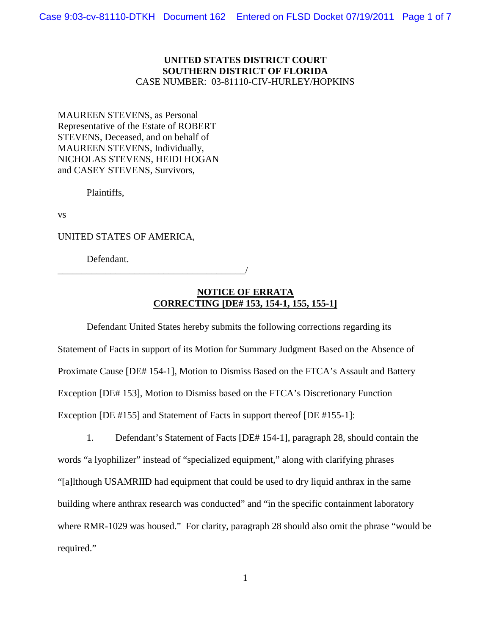### **UNITED STATES DISTRICT COURT SOUTHERN DISTRICT OF FLORIDA** CASE NUMBER: 03-81110-CIV-HURLEY/HOPKINS

MAUREEN STEVENS, as Personal Representative of the Estate of ROBERT STEVENS, Deceased, and on behalf of MAUREEN STEVENS, Individually, NICHOLAS STEVENS, HEIDI HOGAN and CASEY STEVENS, Survivors,

Plaintiffs,

vs

UNITED STATES OF AMERICA,

\_\_\_\_\_\_\_\_\_\_\_\_\_\_\_\_\_\_\_\_\_\_\_\_\_\_\_\_\_\_\_\_\_\_\_\_\_\_\_/

Defendant.

## **NOTICE OF ERRATA CORRECTING [DE# 153, 154-1, 155, 155-1]**

Defendant United States hereby submits the following corrections regarding its Statement of Facts in support of its Motion for Summary Judgment Based on the Absence of Proximate Cause [DE# 154-1], Motion to Dismiss Based on the FTCA's Assault and Battery Exception [DE# 153], Motion to Dismiss based on the FTCA's Discretionary Function Exception [DE #155] and Statement of Facts in support thereof [DE #155-1]:

1. Defendant's Statement of Facts [DE# 154-1], paragraph 28, should contain the words "a lyophilizer" instead of "specialized equipment," along with clarifying phrases "[a]lthough USAMRIID had equipment that could be used to dry liquid anthrax in the same building where anthrax research was conducted" and "in the specific containment laboratory where RMR-1029 was housed." For clarity, paragraph 28 should also omit the phrase "would be required."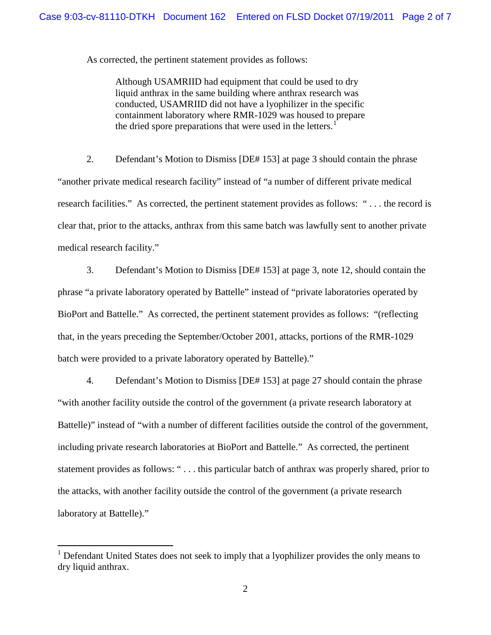As corrected, the pertinent statement provides as follows:

Although USAMRIID had equipment that could be used to dry liquid anthrax in the same building where anthrax research was conducted, USAMRIID did not have a lyophilizer in the specific containment laboratory where RMR-1029 was housed to prepare the dried spore preparations that were used in the letters.<sup>[1](#page-1-0)</sup>

2. Defendant's Motion to Dismiss [DE# 153] at page 3 should contain the phrase "another private medical research facility" instead of "a number of different private medical research facilities." As corrected, the pertinent statement provides as follows: " . . . the record is clear that, prior to the attacks, anthrax from this same batch was lawfully sent to another private medical research facility."

3. Defendant's Motion to Dismiss [DE# 153] at page 3, note 12, should contain the phrase "a private laboratory operated by Battelle" instead of "private laboratories operated by BioPort and Battelle." As corrected, the pertinent statement provides as follows: "(reflecting that, in the years preceding the September/October 2001, attacks, portions of the RMR-1029 batch were provided to a private laboratory operated by Battelle)."

4. Defendant's Motion to Dismiss [DE# 153] at page 27 should contain the phrase "with another facility outside the control of the government (a private research laboratory at Battelle)" instead of "with a number of different facilities outside the control of the government, including private research laboratories at BioPort and Battelle." As corrected, the pertinent statement provides as follows: " . . . this particular batch of anthrax was properly shared, prior to the attacks, with another facility outside the control of the government (a private research laboratory at Battelle)."

<span id="page-1-0"></span> $1$  Defendant United States does not seek to imply that a lyophilizer provides the only means to dry liquid anthrax.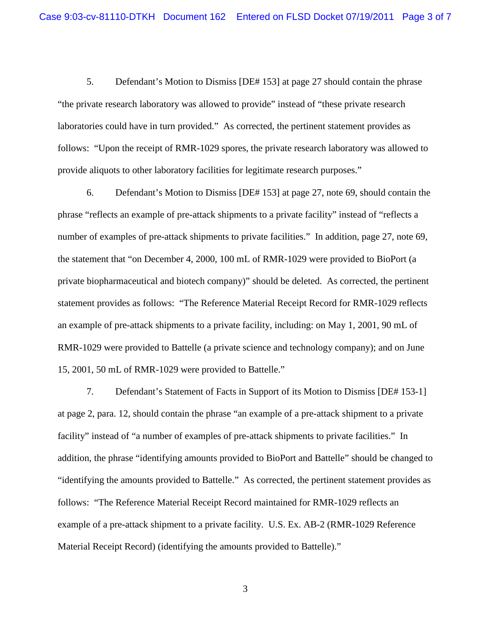5. Defendant's Motion to Dismiss [DE# 153] at page 27 should contain the phrase "the private research laboratory was allowed to provide" instead of "these private research laboratories could have in turn provided." As corrected, the pertinent statement provides as follows: "Upon the receipt of RMR-1029 spores, the private research laboratory was allowed to provide aliquots to other laboratory facilities for legitimate research purposes."

6. Defendant's Motion to Dismiss [DE# 153] at page 27, note 69, should contain the phrase "reflects an example of pre-attack shipments to a private facility" instead of "reflects a number of examples of pre-attack shipments to private facilities." In addition, page 27, note 69, the statement that "on December 4, 2000, 100 mL of RMR-1029 were provided to BioPort (a private biopharmaceutical and biotech company)" should be deleted. As corrected, the pertinent statement provides as follows: "The Reference Material Receipt Record for RMR-1029 reflects an example of pre-attack shipments to a private facility, including: on May 1, 2001, 90 mL of RMR-1029 were provided to Battelle (a private science and technology company); and on June 15, 2001, 50 mL of RMR-1029 were provided to Battelle."

7. Defendant's Statement of Facts in Support of its Motion to Dismiss [DE# 153-1] at page 2, para. 12, should contain the phrase "an example of a pre-attack shipment to a private facility" instead of "a number of examples of pre-attack shipments to private facilities." In addition, the phrase "identifying amounts provided to BioPort and Battelle" should be changed to "identifying the amounts provided to Battelle." As corrected, the pertinent statement provides as follows: "The Reference Material Receipt Record maintained for RMR-1029 reflects an example of a pre-attack shipment to a private facility. U.S. Ex. AB-2 (RMR-1029 Reference Material Receipt Record) (identifying the amounts provided to Battelle)."

3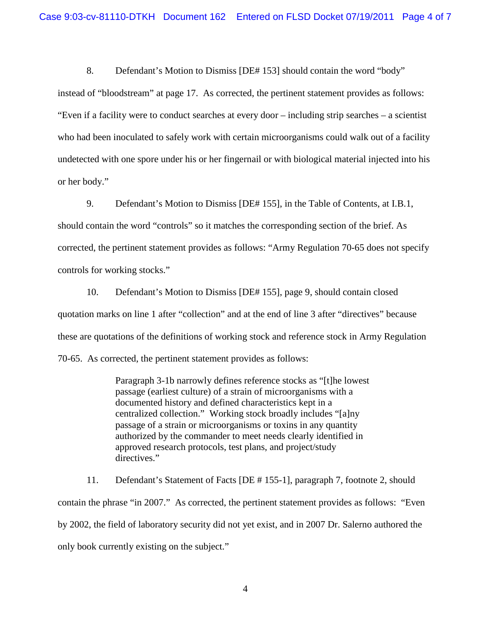8. Defendant's Motion to Dismiss [DE# 153] should contain the word "body"

instead of "bloodstream" at page 17. As corrected, the pertinent statement provides as follows: "Even if a facility were to conduct searches at every door – including strip searches – a scientist who had been inoculated to safely work with certain microorganisms could walk out of a facility undetected with one spore under his or her fingernail or with biological material injected into his or her body."

9. Defendant's Motion to Dismiss [DE# 155], in the Table of Contents, at I.B.1,

should contain the word "controls" so it matches the corresponding section of the brief. As corrected, the pertinent statement provides as follows: "Army Regulation 70-65 does not specify controls for working stocks."

10. Defendant's Motion to Dismiss [DE# 155], page 9, should contain closed quotation marks on line 1 after "collection" and at the end of line 3 after "directives" because these are quotations of the definitions of working stock and reference stock in Army Regulation 70-65. As corrected, the pertinent statement provides as follows:

> Paragraph 3-1b narrowly defines reference stocks as "[t]he lowest passage (earliest culture) of a strain of microorganisms with a documented history and defined characteristics kept in a centralized collection." Working stock broadly includes "[a]ny passage of a strain or microorganisms or toxins in any quantity authorized by the commander to meet needs clearly identified in approved research protocols, test plans, and project/study directives."

11. Defendant's Statement of Facts [DE # 155-1], paragraph 7, footnote 2, should contain the phrase "in 2007." As corrected, the pertinent statement provides as follows: "Even by 2002, the field of laboratory security did not yet exist, and in 2007 Dr. Salerno authored the only book currently existing on the subject."

4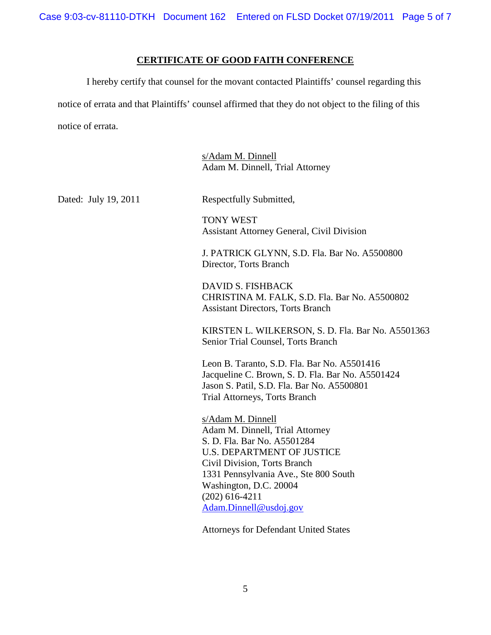Case 9:03-cv-81110-DTKH Document 162 Entered on FLSD Docket 07/19/2011 Page 5 of 7

### **CERTIFICATE OF GOOD FAITH CONFERENCE**

I hereby certify that counsel for the movant contacted Plaintiffs' counsel regarding this notice of errata and that Plaintiffs' counsel affirmed that they do not object to the filing of this notice of errata.

> s/Adam M. Dinnell Adam M. Dinnell, Trial Attorney

Dated: July 19, 2011 Respectfully Submitted,

TONY WEST Assistant Attorney General, Civil Division

J. PATRICK GLYNN, S.D. Fla. Bar No. A5500800 Director, Torts Branch

DAVID S. FISHBACK CHRISTINA M. FALK, S.D. Fla. Bar No. A5500802 Assistant Directors, Torts Branch

KIRSTEN L. WILKERSON, S. D. Fla. Bar No. A5501363 Senior Trial Counsel, Torts Branch

Leon B. Taranto, S.D. Fla. Bar No. A5501416 Jacqueline C. Brown, S. D. Fla. Bar No. A5501424 Jason S. Patil, S.D. Fla. Bar No. A5500801 Trial Attorneys, Torts Branch

s/Adam M. Dinnell Adam M. Dinnell, Trial Attorney S. D. Fla. Bar No. A5501284 U.S. DEPARTMENT OF JUSTICE Civil Division, Torts Branch 1331 Pennsylvania Ave., Ste 800 South Washington, D.C. 20004 (202) 616-4211 [Adam.Dinnell@usdoj.gov](mailto:Adam.Dinnell@usdoj.gov)

Attorneys for Defendant United States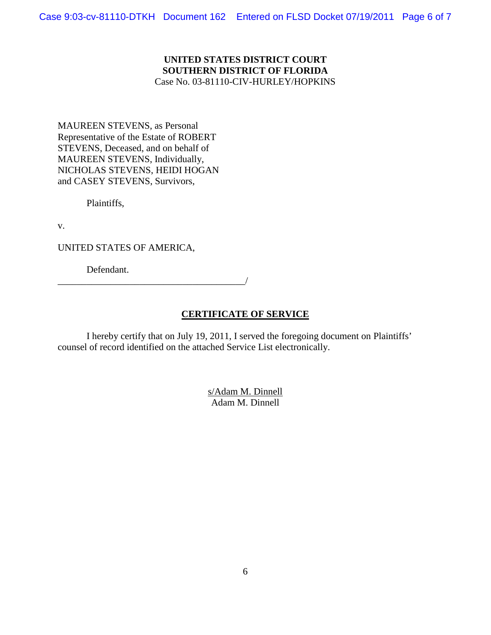### **UNITED STATES DISTRICT COURT SOUTHERN DISTRICT OF FLORIDA** Case No. 03-81110-CIV-HURLEY/HOPKINS

MAUREEN STEVENS, as Personal Representative of the Estate of ROBERT STEVENS, Deceased, and on behalf of MAUREEN STEVENS, Individually, NICHOLAS STEVENS, HEIDI HOGAN and CASEY STEVENS, Survivors,

Plaintiffs,

v.

UNITED STATES OF AMERICA,

Defendant.

\_\_\_\_\_\_\_\_\_\_\_\_\_\_\_\_\_\_\_\_\_\_\_\_\_\_\_\_\_\_\_\_\_\_\_\_\_\_\_/

# **CERTIFICATE OF SERVICE**

I hereby certify that on July 19, 2011, I served the foregoing document on Plaintiffs' counsel of record identified on the attached Service List electronically.

> s/Adam M. Dinnell Adam M. Dinnell